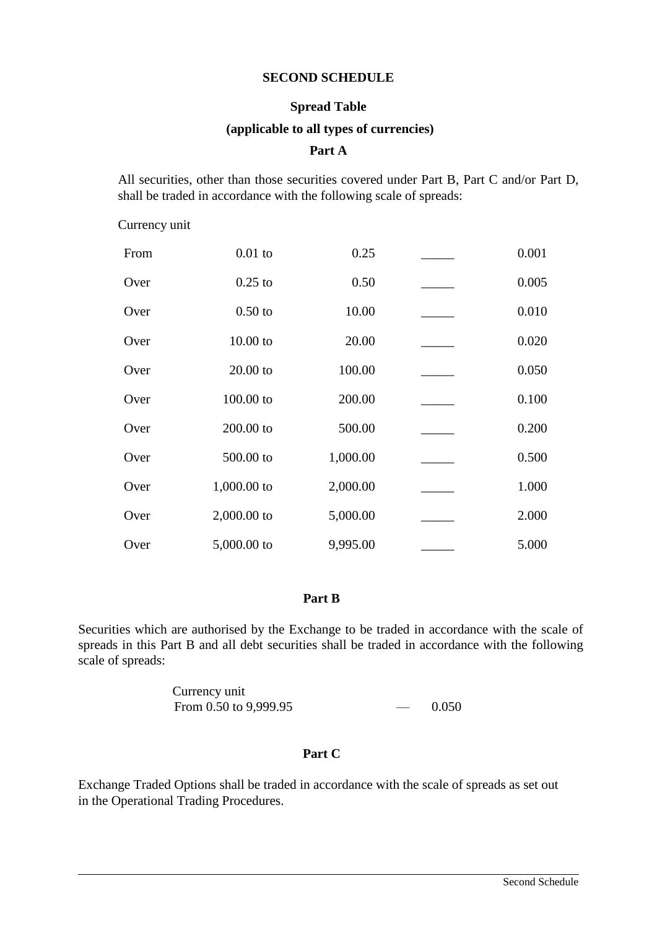### **SECOND SCHEDULE**

### **Spread Table**

#### **(applicable to all types of currencies)**

### **Part A**

All securities, other than those securities covered under Part B, Part C and/or Part D, shall be traded in accordance with the following scale of spreads:

Currency unit

| From | $0.01$ to   | 0.25     | 0.001 |
|------|-------------|----------|-------|
| Over | $0.25$ to   | 0.50     | 0.005 |
| Over | $0.50$ to   | 10.00    | 0.010 |
| Over | $10.00$ to  | 20.00    | 0.020 |
| Over | $20.00$ to  | 100.00   | 0.050 |
| Over | 100.00 to   | 200.00   | 0.100 |
| Over | 200.00 to   | 500.00   | 0.200 |
| Over | 500.00 to   | 1,000.00 | 0.500 |
| Over | 1,000.00 to | 2,000.00 | 1.000 |
| Over | 2,000.00 to | 5,000.00 | 2.000 |
| Over | 5,000.00 to | 9,995.00 | 5.000 |

# **Part B**

Securities which are authorised by the Exchange to be traded in accordance with the scale of spreads in this Part B and all debt securities shall be traded in accordance with the following scale of spreads:

> Currency unit From 0.50 to 9,999.95 — 0.050

# **Part C**

Exchange Traded Options shall be traded in accordance with the scale of spreads as set out in the Operational Trading Procedures.